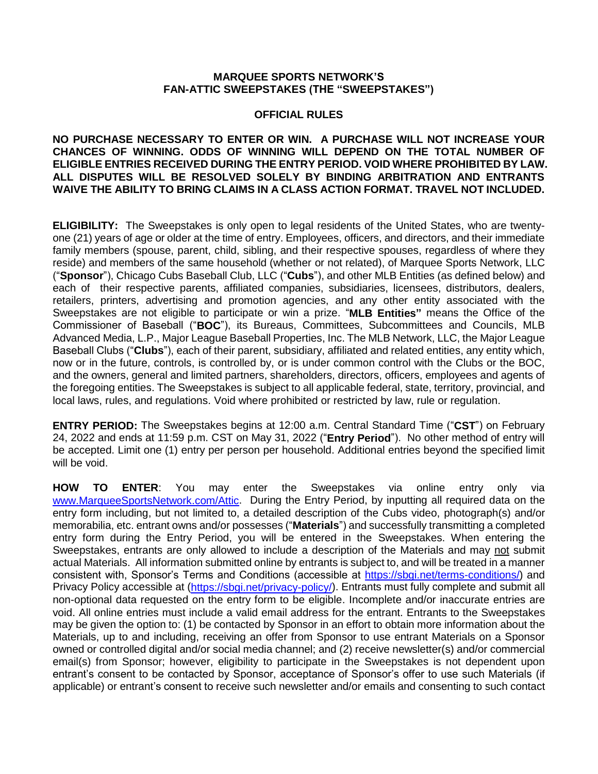## **MARQUEE SPORTS NETWORK'S FAN-ATTIC SWEEPSTAKES (THE "SWEEPSTAKES")**

## **OFFICIAL RULES**

**NO PURCHASE NECESSARY TO ENTER OR WIN. A PURCHASE WILL NOT INCREASE YOUR CHANCES OF WINNING. ODDS OF WINNING WILL DEPEND ON THE TOTAL NUMBER OF ELIGIBLE ENTRIES RECEIVED DURING THE ENTRY PERIOD. VOID WHERE PROHIBITED BY LAW. ALL DISPUTES WILL BE RESOLVED SOLELY BY BINDING ARBITRATION AND ENTRANTS WAIVE THE ABILITY TO BRING CLAIMS IN A CLASS ACTION FORMAT. TRAVEL NOT INCLUDED.**

**ELIGIBILITY:** The Sweepstakes is only open to legal residents of the United States, who are twentyone (21) years of age or older at the time of entry. Employees, officers, and directors, and their immediate family members (spouse, parent, child, sibling, and their respective spouses, regardless of where they reside) and members of the same household (whether or not related), of Marquee Sports Network, LLC ("**Sponsor**"), Chicago Cubs Baseball Club, LLC ("**Cubs**"), and other MLB Entities (as defined below) and each of their respective parents, affiliated companies, subsidiaries, licensees, distributors, dealers, retailers, printers, advertising and promotion agencies, and any other entity associated with the Sweepstakes are not eligible to participate or win a prize. "**MLB Entities"** means the Office of the Commissioner of Baseball ("**BOC**"), its Bureaus, Committees, Subcommittees and Councils, MLB Advanced Media, L.P., Major League Baseball Properties, Inc. The MLB Network, LLC, the Major League Baseball Clubs ("**Clubs**"), each of their parent, subsidiary, affiliated and related entities, any entity which, now or in the future, controls, is controlled by, or is under common control with the Clubs or the BOC, and the owners, general and limited partners, shareholders, directors, officers, employees and agents of the foregoing entities. The Sweepstakes is subject to all applicable federal, state, territory, provincial, and local laws, rules, and regulations. Void where prohibited or restricted by law, rule or regulation.

**ENTRY PERIOD:** The Sweepstakes begins at 12:00 a.m. Central Standard Time ("**CST**") on February 24, 2022 and ends at 11:59 p.m. CST on May 31, 2022 ("**Entry Period**"). No other method of entry will be accepted. Limit one (1) entry per person per household. Additional entries beyond the specified limit will be void.

**HOW TO ENTER**: You may enter the Sweepstakes via online entry only via [www.MarqueeSportsNetwork.com/Attic.](http://www.marqueesportsnetwork.com/Attic) During the Entry Period, by inputting all required data on the entry form including, but not limited to, a detailed description of the Cubs video, photograph(s) and/or memorabilia, etc. entrant owns and/or possesses ("**Materials**") and successfully transmitting a completed entry form during the Entry Period, you will be entered in the Sweepstakes. When entering the Sweepstakes, entrants are only allowed to include a description of the Materials and may not submit actual Materials. All information submitted online by entrants is subject to, and will be treated in a manner consistent with, Sponsor's Terms and Conditions (accessible at [https://sbgi.net/terms-conditions/\)](https://sbgi.net/terms-conditions/) and Privacy Policy accessible at [\(https://sbgi.net/privacy-policy/\)](https://sbgi.net/privacy-policy/). Entrants must fully complete and submit all non-optional data requested on the entry form to be eligible. Incomplete and/or inaccurate entries are void. All online entries must include a valid email address for the entrant. Entrants to the Sweepstakes may be given the option to: (1) be contacted by Sponsor in an effort to obtain more information about the Materials, up to and including, receiving an offer from Sponsor to use entrant Materials on a Sponsor owned or controlled digital and/or social media channel; and (2) receive newsletter(s) and/or commercial email(s) from Sponsor; however, eligibility to participate in the Sweepstakes is not dependent upon entrant's consent to be contacted by Sponsor, acceptance of Sponsor's offer to use such Materials (if applicable) or entrant's consent to receive such newsletter and/or emails and consenting to such contact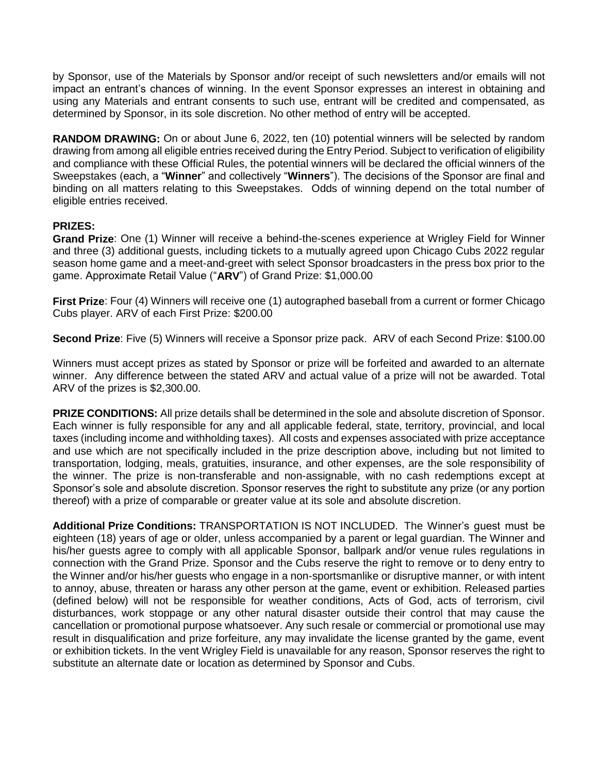by Sponsor, use of the Materials by Sponsor and/or receipt of such newsletters and/or emails will not impact an entrant's chances of winning. In the event Sponsor expresses an interest in obtaining and using any Materials and entrant consents to such use, entrant will be credited and compensated, as determined by Sponsor, in its sole discretion. No other method of entry will be accepted.

**RANDOM DRAWING:** On or about June 6, 2022, ten (10) potential winners will be selected by random drawing from among all eligible entries received during the Entry Period. Subject to verification of eligibility and compliance with these Official Rules, the potential winners will be declared the official winners of the Sweepstakes (each, a "**Winner**" and collectively "**Winners**"). The decisions of the Sponsor are final and binding on all matters relating to this Sweepstakes. Odds of winning depend on the total number of eligible entries received.

## **PRIZES:**

**Grand Prize**: One (1) Winner will receive a behind-the-scenes experience at Wrigley Field for Winner and three (3) additional guests, including tickets to a mutually agreed upon Chicago Cubs 2022 regular season home game and a meet-and-greet with select Sponsor broadcasters in the press box prior to the game. Approximate Retail Value ("**ARV**") of Grand Prize: \$1,000.00

**First Prize**: Four (4) Winners will receive one (1) autographed baseball from a current or former Chicago Cubs player. ARV of each First Prize: \$200.00

**Second Prize**: Five (5) Winners will receive a Sponsor prize pack. ARV of each Second Prize: \$100.00

Winners must accept prizes as stated by Sponsor or prize will be forfeited and awarded to an alternate winner. Any difference between the stated ARV and actual value of a prize will not be awarded. Total ARV of the prizes is \$2,300.00.

**PRIZE CONDITIONS:** All prize details shall be determined in the sole and absolute discretion of Sponsor. Each winner is fully responsible for any and all applicable federal, state, territory, provincial, and local taxes (including income and withholding taxes). All costs and expenses associated with prize acceptance and use which are not specifically included in the prize description above, including but not limited to transportation, lodging, meals, gratuities, insurance, and other expenses, are the sole responsibility of the winner. The prize is non-transferable and non-assignable, with no cash redemptions except at Sponsor's sole and absolute discretion. Sponsor reserves the right to substitute any prize (or any portion thereof) with a prize of comparable or greater value at its sole and absolute discretion.

**Additional Prize Conditions:** TRANSPORTATION IS NOT INCLUDED. The Winner's guest must be eighteen (18) years of age or older, unless accompanied by a parent or legal guardian. The Winner and his/her guests agree to comply with all applicable Sponsor, ballpark and/or venue rules regulations in connection with the Grand Prize. Sponsor and the Cubs reserve the right to remove or to deny entry to the Winner and/or his/her guests who engage in a non-sportsmanlike or disruptive manner, or with intent to annoy, abuse, threaten or harass any other person at the game, event or exhibition. Released parties (defined below) will not be responsible for weather conditions, Acts of God, acts of terrorism, civil disturbances, work stoppage or any other natural disaster outside their control that may cause the cancellation or promotional purpose whatsoever. Any such resale or commercial or promotional use may result in disqualification and prize forfeiture, any may invalidate the license granted by the game, event or exhibition tickets. In the vent Wrigley Field is unavailable for any reason, Sponsor reserves the right to substitute an alternate date or location as determined by Sponsor and Cubs.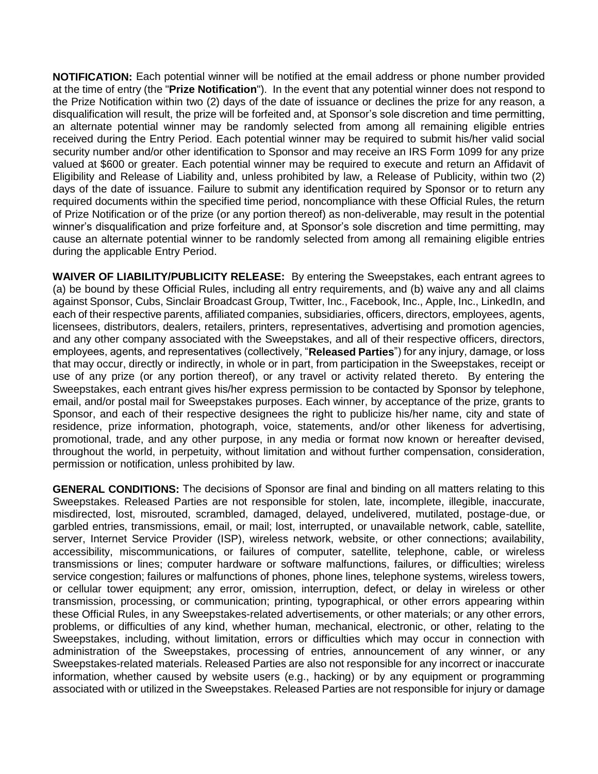**NOTIFICATION:** Each potential winner will be notified at the email address or phone number provided at the time of entry (the "**Prize Notification**"). In the event that any potential winner does not respond to the Prize Notification within two (2) days of the date of issuance or declines the prize for any reason, a disqualification will result, the prize will be forfeited and, at Sponsor's sole discretion and time permitting, an alternate potential winner may be randomly selected from among all remaining eligible entries received during the Entry Period. Each potential winner may be required to submit his/her valid social security number and/or other identification to Sponsor and may receive an IRS Form 1099 for any prize valued at \$600 or greater. Each potential winner may be required to execute and return an Affidavit of Eligibility and Release of Liability and, unless prohibited by law, a Release of Publicity, within two (2) days of the date of issuance. Failure to submit any identification required by Sponsor or to return any required documents within the specified time period, noncompliance with these Official Rules, the return of Prize Notification or of the prize (or any portion thereof) as non-deliverable, may result in the potential winner's disqualification and prize forfeiture and, at Sponsor's sole discretion and time permitting, may cause an alternate potential winner to be randomly selected from among all remaining eligible entries during the applicable Entry Period.

**WAIVER OF LIABILITY/PUBLICITY RELEASE:** By entering the Sweepstakes, each entrant agrees to (a) be bound by these Official Rules, including all entry requirements, and (b) waive any and all claims against Sponsor, Cubs, Sinclair Broadcast Group, Twitter, Inc., Facebook, Inc., Apple, Inc., LinkedIn, and each of their respective parents, affiliated companies, subsidiaries, officers, directors, employees, agents, licensees, distributors, dealers, retailers, printers, representatives, advertising and promotion agencies, and any other company associated with the Sweepstakes, and all of their respective officers, directors, employees, agents, and representatives (collectively, "**Released Parties**") for any injury, damage, or loss that may occur, directly or indirectly, in whole or in part, from participation in the Sweepstakes, receipt or use of any prize (or any portion thereof), or any travel or activity related thereto. By entering the Sweepstakes, each entrant gives his/her express permission to be contacted by Sponsor by telephone, email, and/or postal mail for Sweepstakes purposes. Each winner, by acceptance of the prize, grants to Sponsor, and each of their respective designees the right to publicize his/her name, city and state of residence, prize information, photograph, voice, statements, and/or other likeness for advertising, promotional, trade, and any other purpose, in any media or format now known or hereafter devised, throughout the world, in perpetuity, without limitation and without further compensation, consideration, permission or notification, unless prohibited by law.

**GENERAL CONDITIONS:** The decisions of Sponsor are final and binding on all matters relating to this Sweepstakes. Released Parties are not responsible for stolen, late, incomplete, illegible, inaccurate, misdirected, lost, misrouted, scrambled, damaged, delayed, undelivered, mutilated, postage-due, or garbled entries, transmissions, email, or mail; lost, interrupted, or unavailable network, cable, satellite, server, Internet Service Provider (ISP), wireless network, website, or other connections: availability. accessibility, miscommunications, or failures of computer, satellite, telephone, cable, or wireless transmissions or lines; computer hardware or software malfunctions, failures, or difficulties; wireless service congestion; failures or malfunctions of phones, phone lines, telephone systems, wireless towers, or cellular tower equipment; any error, omission, interruption, defect, or delay in wireless or other transmission, processing, or communication; printing, typographical, or other errors appearing within these Official Rules, in any Sweepstakes-related advertisements, or other materials; or any other errors, problems, or difficulties of any kind, whether human, mechanical, electronic, or other, relating to the Sweepstakes, including, without limitation, errors or difficulties which may occur in connection with administration of the Sweepstakes, processing of entries, announcement of any winner, or any Sweepstakes-related materials. Released Parties are also not responsible for any incorrect or inaccurate information, whether caused by website users (e.g., hacking) or by any equipment or programming associated with or utilized in the Sweepstakes. Released Parties are not responsible for injury or damage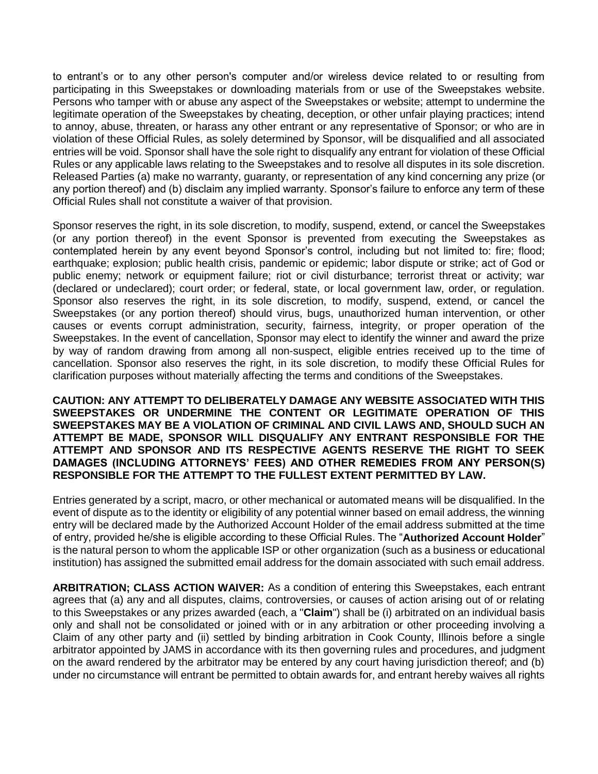to entrant's or to any other person's computer and/or wireless device related to or resulting from participating in this Sweepstakes or downloading materials from or use of the Sweepstakes website. Persons who tamper with or abuse any aspect of the Sweepstakes or website; attempt to undermine the legitimate operation of the Sweepstakes by cheating, deception, or other unfair playing practices; intend to annoy, abuse, threaten, or harass any other entrant or any representative of Sponsor; or who are in violation of these Official Rules, as solely determined by Sponsor, will be disqualified and all associated entries will be void. Sponsor shall have the sole right to disqualify any entrant for violation of these Official Rules or any applicable laws relating to the Sweepstakes and to resolve all disputes in its sole discretion. Released Parties (a) make no warranty, guaranty, or representation of any kind concerning any prize (or any portion thereof) and (b) disclaim any implied warranty. Sponsor's failure to enforce any term of these Official Rules shall not constitute a waiver of that provision.

Sponsor reserves the right, in its sole discretion, to modify, suspend, extend, or cancel the Sweepstakes (or any portion thereof) in the event Sponsor is prevented from executing the Sweepstakes as contemplated herein by any event beyond Sponsor's control, including but not limited to: fire; flood; earthquake; explosion; public health crisis, pandemic or epidemic; labor dispute or strike; act of God or public enemy; network or equipment failure; riot or civil disturbance; terrorist threat or activity; war (declared or undeclared); court order; or federal, state, or local government law, order, or regulation. Sponsor also reserves the right, in its sole discretion, to modify, suspend, extend, or cancel the Sweepstakes (or any portion thereof) should virus, bugs, unauthorized human intervention, or other causes or events corrupt administration, security, fairness, integrity, or proper operation of the Sweepstakes. In the event of cancellation, Sponsor may elect to identify the winner and award the prize by way of random drawing from among all non-suspect, eligible entries received up to the time of cancellation. Sponsor also reserves the right, in its sole discretion, to modify these Official Rules for clarification purposes without materially affecting the terms and conditions of the Sweepstakes.

**CAUTION: ANY ATTEMPT TO DELIBERATELY DAMAGE ANY WEBSITE ASSOCIATED WITH THIS SWEEPSTAKES OR UNDERMINE THE CONTENT OR LEGITIMATE OPERATION OF THIS SWEEPSTAKES MAY BE A VIOLATION OF CRIMINAL AND CIVIL LAWS AND, SHOULD SUCH AN ATTEMPT BE MADE, SPONSOR WILL DISQUALIFY ANY ENTRANT RESPONSIBLE FOR THE ATTEMPT AND SPONSOR AND ITS RESPECTIVE AGENTS RESERVE THE RIGHT TO SEEK DAMAGES (INCLUDING ATTORNEYS' FEES) AND OTHER REMEDIES FROM ANY PERSON(S) RESPONSIBLE FOR THE ATTEMPT TO THE FULLEST EXTENT PERMITTED BY LAW.**

Entries generated by a script, macro, or other mechanical or automated means will be disqualified. In the event of dispute as to the identity or eligibility of any potential winner based on email address, the winning entry will be declared made by the Authorized Account Holder of the email address submitted at the time of entry, provided he/she is eligible according to these Official Rules. The "**Authorized Account Holder**" is the natural person to whom the applicable ISP or other organization (such as a business or educational institution) has assigned the submitted email address for the domain associated with such email address.

**ARBITRATION; CLASS ACTION WAIVER:** As a condition of entering this Sweepstakes, each entrant agrees that (a) any and all disputes, claims, controversies, or causes of action arising out of or relating to this Sweepstakes or any prizes awarded (each, a "**Claim**") shall be (i) arbitrated on an individual basis only and shall not be consolidated or joined with or in any arbitration or other proceeding involving a Claim of any other party and (ii) settled by binding arbitration in Cook County, Illinois before a single arbitrator appointed by JAMS in accordance with its then governing rules and procedures, and judgment on the award rendered by the arbitrator may be entered by any court having jurisdiction thereof; and (b) under no circumstance will entrant be permitted to obtain awards for, and entrant hereby waives all rights